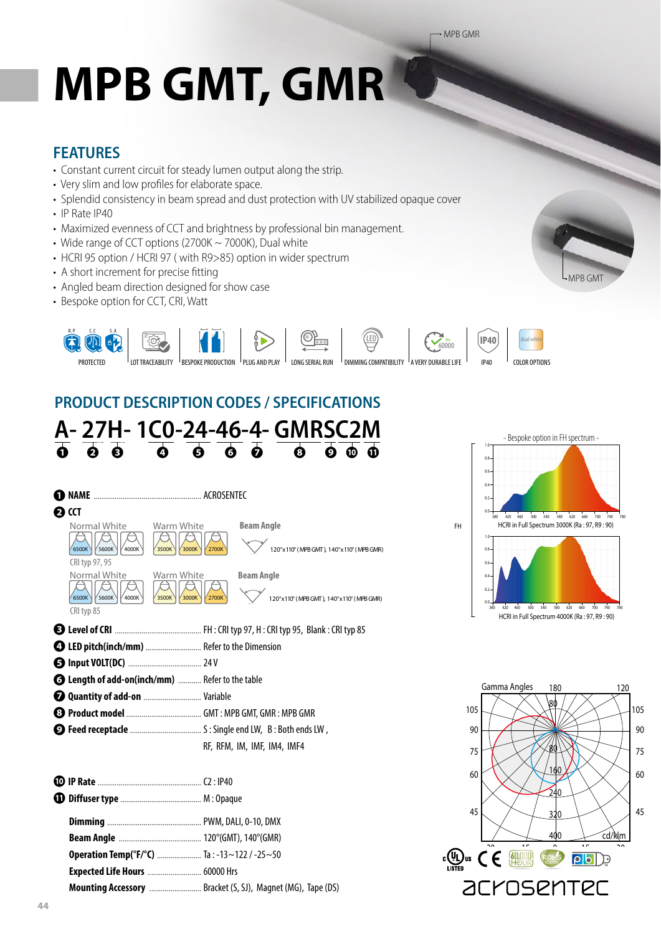# **MPB GMT, GMR**

#### **FEATURES**

- Constant current circuit for steady lumen output along the strip.
- Very slim and low profiles for elaborate space.
- Splendid consistency in beam spread and dust protection with UV stabilized opaque cover
- IP Rate IP40
- Maximized evenness of CCT and brightness by professional bin management.
- Wide range of CCT options (2700K ~ 7000K), Dual white
- HCRI 95 option / HCRI 97 ( with R9>85) option in wider spectrum
- A short increment for precise fitting
- Angled beam direction designed for show case
- Bespoke option for CCT, CRI, Watt



## **PRODUCT DESCRIPTION CODES / SPECIFICATIONS**





MPB GMT

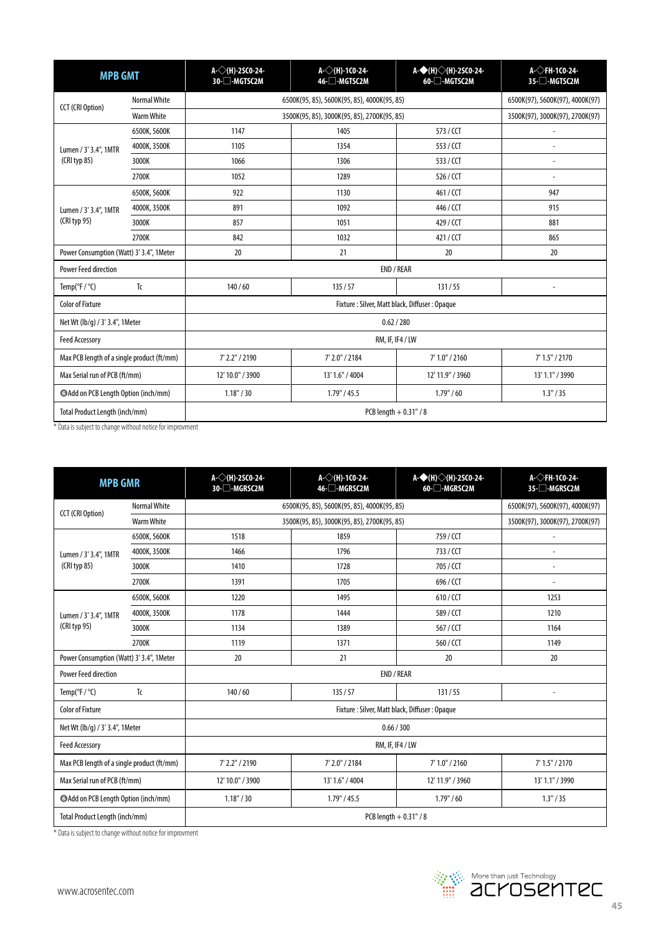| <b>MPB GMT</b>                             |                     | A- $\diamond$ (H)-2SCO-24-<br>30-□-MGTSC2M    | A- $\diamondsuit$ (H)-1CO-24-<br>46-□-MGTSC2M | A-◆(H)◇(H)-2SC0-24-<br>60-□-MGTSC2M | $A<$ FH-1CO-24-<br>35-□-MGTSC2M |  |
|--------------------------------------------|---------------------|-----------------------------------------------|-----------------------------------------------|-------------------------------------|---------------------------------|--|
| <b>CCT (CRI Option)</b>                    | <b>Normal White</b> | 6500K(95, 85), 5600K(95, 85), 4000K(95, 85)   |                                               |                                     | 6500K(97), 5600K(97), 4000K(97) |  |
|                                            | <b>Warm White</b>   | 3500K(95, 85), 3000K(95, 85), 2700K(95, 85)   |                                               |                                     | 3500K(97), 3000K(97), 2700K(97) |  |
| Lumen / 3' 3.4", 1MTR<br>$(CRI$ typ 85)    | 6500K, 5600K        | 1147                                          | 1405                                          | 573 / CCT                           |                                 |  |
|                                            | 4000K, 3500K        | 1105                                          | 1354                                          | 553 / CCT                           | $\overline{a}$                  |  |
|                                            | 3000K               | 1066                                          | 1306                                          | 533/CCT                             |                                 |  |
|                                            | 2700K               | 1052                                          | 1289                                          | 526 / CCT                           |                                 |  |
| Lumen / 3' 3.4", 1MTR<br>(CRI typ 95)      | 6500K, 5600K        | 922                                           | 1130                                          | 461/CCT                             | 947                             |  |
|                                            | 4000K, 3500K        | 891                                           | 1092                                          | 446 / CCT                           | 915                             |  |
|                                            | 3000K               | 857                                           | 1051                                          | 429 / CCT                           | 881                             |  |
|                                            | 2700K               | 842                                           | 1032                                          | 421/CCT                             | 865                             |  |
| Power Consumption (Watt) 3' 3.4", 1 Meter  |                     | 20                                            | 21                                            | 20                                  | 20                              |  |
| <b>Power Feed direction</b>                |                     | END / REAR                                    |                                               |                                     |                                 |  |
| Temp( ${}^{\circ}$ F / ${}^{\circ}$ C)     | Tc                  | 140/60                                        | 135/57                                        | 131/55                              |                                 |  |
| <b>Color of Fixture</b>                    |                     | Fixture: Silver, Matt black, Diffuser: Opaque |                                               |                                     |                                 |  |
| Net Wt (lb/g) / 3' 3.4", 1Meter            |                     | 0.62 / 280                                    |                                               |                                     |                                 |  |
| <b>Feed Accessory</b>                      |                     | RM, IF, IF4 / LW                              |                                               |                                     |                                 |  |
| Max PCB length of a single product (ft/mm) |                     | 7' 2.2" / 2190                                | 7' 2.0" / 2184                                | 7' 1.0" / 2160                      | 7' 1.5'' / 2170                 |  |
| Max Serial run of PCB (ft/mm)              |                     | 12' 10.0" / 3900                              | 13' 1.6" / 4004                               | 12' 11.9" / 3960                    | 13' 1.1" / 3990                 |  |
| Add on PCB Length Option (inch/mm)         |                     | 1.18" / 30                                    | 1.79" / 45.5                                  | 1.79" / 60                          | 1.3''/35                        |  |
| Total Product Length (inch/mm)             |                     | PCB length $+0.31$ " / 8                      |                                               |                                     |                                 |  |

\* Data is subject to change without notice for improvment

| <b>MPB GMR</b>                             |                     | A- $\diamondsuit$ (H)-2SC0-24-<br>30-□-MGRSC2M | A- $\diamondsuit$ (H)-1CO-24-<br>46-□-MGRSC2M | A-◆(H)◇(H)-2SC0-24-<br>60-□-MGRSC2M | A- $\Diamond$ FH-1CO-24-<br>35-□-MGRSC2M |  |
|--------------------------------------------|---------------------|------------------------------------------------|-----------------------------------------------|-------------------------------------|------------------------------------------|--|
| <b>CCT</b> (CRI Option)                    | <b>Normal White</b> | 6500K(95, 85), 5600K(95, 85), 4000K(95, 85)    |                                               |                                     | 6500K(97), 5600K(97), 4000K(97)          |  |
|                                            | Warm White          | 3500K(95, 85), 3000K(95, 85), 2700K(95, 85)    |                                               |                                     | 3500K(97), 3000K(97), 2700K(97)          |  |
| Lumen / 3' 3.4", 1MTR<br>(CRI typ 85)      | 6500K, 5600K        | 1518                                           | 1859                                          | 759/CCT                             |                                          |  |
|                                            | 4000K, 3500K        | 1466                                           | 1796                                          | 733 / CCT                           | Ĭ.                                       |  |
|                                            | 3000K               | 1410                                           | 1728                                          | 705 / CCT                           | $\overline{\phantom{a}}$                 |  |
|                                            | 2700K               | 1391                                           | 1705                                          | 696 / CCT                           |                                          |  |
| Lumen / 3' 3.4", 1MTR<br>(CRI typ 95)      | 6500K, 5600K        | 1220                                           | 1495                                          | 610/CCT                             | 1253                                     |  |
|                                            | 4000K, 3500K        | 1178                                           | 1444                                          | 589 / CCT                           | 1210                                     |  |
|                                            | 3000K               | 1134                                           | 1389                                          | 567 / CCT                           | 1164                                     |  |
|                                            | 2700K               | 1119                                           | 1371                                          | 560 / CCT                           | 1149                                     |  |
| Power Consumption (Watt) 3' 3.4", 1 Meter  |                     | 20                                             | 21                                            | 20                                  | 20                                       |  |
| <b>Power Feed direction</b>                |                     | END / REAR                                     |                                               |                                     |                                          |  |
| Temp( ${}^{\circ}$ F / ${}^{\circ}$ C)     | Tc                  | 140/60                                         | 135/57                                        | 131/55                              |                                          |  |
| <b>Color of Fixture</b>                    |                     | Fixture: Silver, Matt black, Diffuser: Opaque  |                                               |                                     |                                          |  |
| Net Wt (lb/g) / 3' 3.4", 1Meter            |                     | 0.66 / 300                                     |                                               |                                     |                                          |  |
| <b>Feed Accessory</b>                      |                     | RM, IF, IF4 / LW                               |                                               |                                     |                                          |  |
| Max PCB length of a single product (ft/mm) |                     | 7' 2.2" / 2190                                 | 7' 2.0" / 2184                                | 7' 1.0" / 2160                      | 7' 1.5'' / 2170                          |  |
| Max Serial run of PCB (ft/mm)              |                     | 12' 10.0" / 3900                               | 13' 1.6" / 4004                               | 12' 11.9" / 3960                    | 13' 1.1" / 3990                          |  |
| Add on PCB Length Option (inch/mm)         |                     | 1.18" / 30                                     | 1.79" / 45.5                                  | 1.79" / 60                          | 1.3" / 35                                |  |
| Total Product Length (inch/mm)             |                     | PCB length $+0.31$ " / 8                       |                                               |                                     |                                          |  |

\* Data is subject to change without notice for improvment

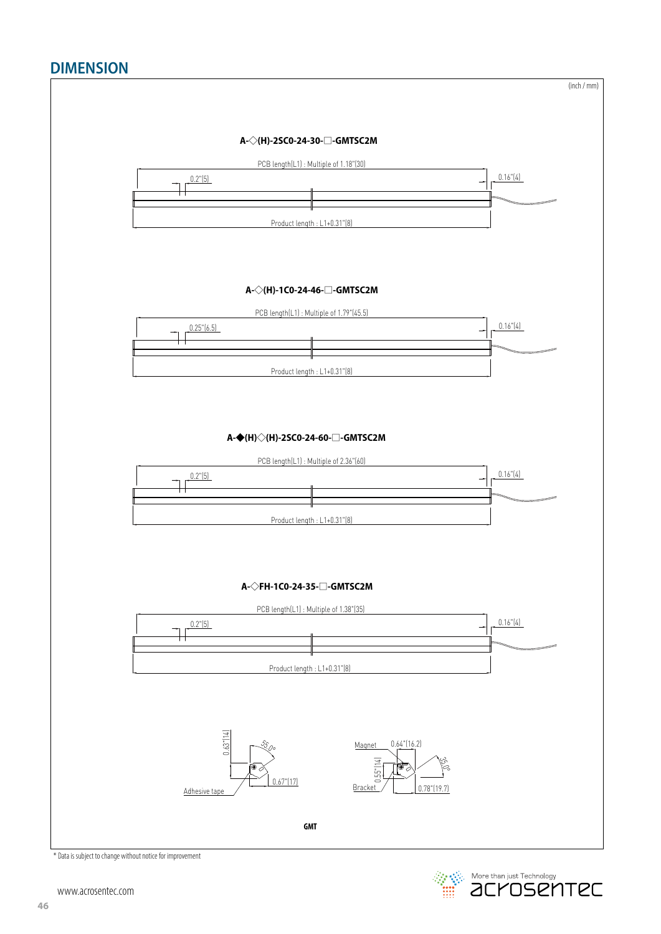### **DIMENSION**



**Example 2014** More than just Technology<br> **EXAMPLE 2014 Technology**